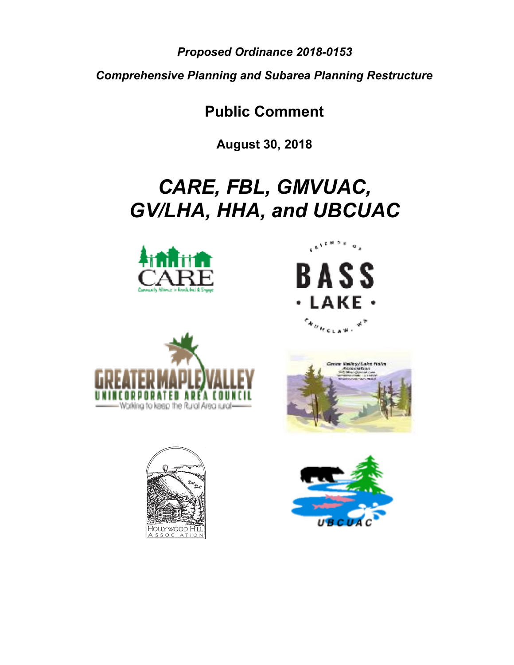*Proposed Ordinance 2018-0153* 

*Comprehensive Planning and Subarea Planning Restructure* 

**Public Comment** 

**August 30, 2018** 

## *CARE, FBL, GMVUAC, GV/LHA, HHA, and UBCUAC*